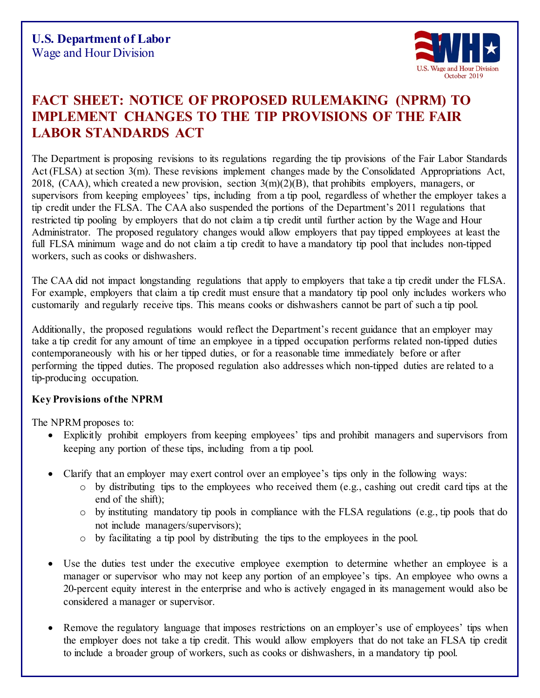

## **FACT SHEET: NOTICE OF PROPOSED RULEMAKING (NPRM) TO IMPLEMENT CHANGES TO THE TIP PROVISIONS OF THE FAIR LABOR STANDARDS ACT**

The Department is proposing revisions to its regulations regarding the tip provisions of the Fair Labor Standards Act (FLSA) at section 3(m). These revisions implement changes made by the Consolidated Appropriations Act, 2018, (CAA), which created a new provision, section  $3(m)(2)(B)$ , that prohibits employers, managers, or supervisors from keeping employees' tips, including from a tip pool, regardless of whether the employer takes a tip credit under the FLSA. The CAA also suspended the portions of the Department's 2011 regulations that restricted tip pooling by employers that do not claim a tip credit until further action by the Wage and Hour Administrator. The proposed regulatory changes would allow employers that pay tipped employees at least the full FLSA minimum wage and do not claim a tip credit to have a mandatory tip pool that includes non-tipped workers, such as cooks or dishwashers.

The CAA did not impact longstanding regulations that apply to employers that take a tip credit under the FLSA. For example, employers that claim a tip credit must ensure that a mandatory tip pool only includes workers who customarily and regularly receive tips. This means cooks or dishwashers cannot be part of such a tip pool.

Additionally, the proposed regulations would reflect the Department's recent guidance that an employer may take a tip credit for any amount of time an employee in a tipped occupation performs related non-tipped duties contemporaneously with his or her tipped duties, or for a reasonable time immediately before or after performing the tipped duties. The proposed regulation also addresses which non-tipped duties are related to a tip-producing occupation.

## **Key Provisions of the NPRM**

The NPRM proposes to:

- Explicitly prohibit employers from keeping employees' tips and prohibit managers and supervisors from keeping any portion of these tips, including from a tip pool.
- Clarify that an employer may exert control over an employee's tips only in the following ways:
	- o by distributing tips to the employees who received them (e.g., cashing out credit card tips at the end of the shift);
	- o by instituting mandatory tip pools in compliance with the FLSA regulations (e.g., tip pools that do not include managers/supervisors);
	- o by facilitating a tip pool by distributing the tips to the employees in the pool.
- Use the duties test under the executive employee exemption to determine whether an employee is a manager or supervisor who may not keep any portion of an employee's tips. An employee who owns a 20-percent equity interest in the enterprise and who is actively engaged in its management would also be considered a manager or supervisor.
- Remove the regulatory language that imposes restrictions on an employer's use of employees' tips when the employer does not take a tip credit. This would allow employers that do not take an FLSA tip credit to include a broader group of workers, such as cooks or dishwashers, in a mandatory tip pool.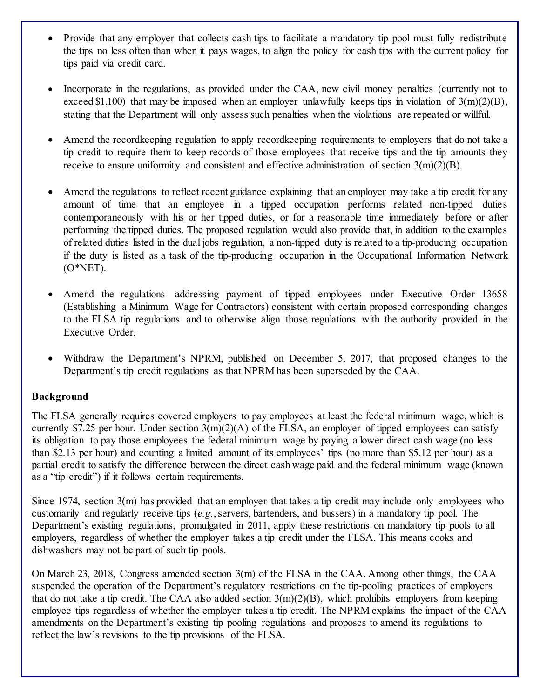- Provide that any employer that collects cash tips to facilitate a mandatory tip pool must fully redistribute the tips no less often than when it pays wages, to align the policy for cash tips with the current policy for tips paid via credit card.
- Incorporate in the regulations, as provided under the CAA, new civil money penalties (currently not to exceed \$1,100) that may be imposed when an employer unlawfully keeps tips in violation of  $3(m)(2)(B)$ , stating that the Department will only assess such penalties when the violations are repeated or willful.
- Amend the recordkeeping regulation to apply recordkeeping requirements to employers that do not take a tip credit to require them to keep records of those employees that receive tips and the tip amounts they receive to ensure uniformity and consistent and effective administration of section 3(m)(2)(B).
- Amend the regulations to reflect recent guidance explaining that an employer may take a tip credit for any amount of time that an employee in a tipped occupation performs related non-tipped duties contemporaneously with his or her tipped duties, or for a reasonable time immediately before or after performing the tipped duties. The proposed regulation would also provide that, in addition to the examples of related duties listed in the dual jobs regulation, a non-tipped duty is related to a tip-producing occupation if the duty is listed as a task of the tip-producing occupation in the Occupational Information Network (O\*NET).
- Amend the regulations addressing payment of tipped employees under Executive Order 13658 (Establishing a Minimum Wage for Contractors) consistent with certain proposed corresponding changes to the FLSA tip regulations and to otherwise align those regulations with the authority provided in the Executive Order.
- Withdraw the Department's NPRM, published on December 5, 2017, that proposed changes to the Department's tip credit regulations as that NPRM has been superseded by the CAA.

## **Background**

The FLSA generally requires covered employers to pay employees at least the federal minimum wage, which is currently \$7.25 per hour. Under section  $3(m)(2)(A)$  of the FLSA, an employer of tipped employees can satisfy its obligation to pay those employees the federal minimum wage by paying a lower direct cash wage (no less than \$2.13 per hour) and counting a limited amount of its employees' tips (no more than \$5.12 per hour) as a partial credit to satisfy the difference between the direct cash wage paid and the federal minimum wage (known as a "tip credit") if it follows certain requirements.

Since 1974, section 3(m) has provided that an employer that takes a tip credit may include only employees who customarily and regularly receive tips (*e.g.*, servers, bartenders, and bussers) in a mandatory tip pool. The Department's existing regulations, promulgated in 2011, apply these restrictions on mandatory tip pools to all employers, regardless of whether the employer takes a tip credit under the FLSA. This means cooks and dishwashers may not be part of such tip pools.

On March 23, 2018, Congress amended section 3(m) of the FLSA in the CAA. Among other things, the CAA suspended the operation of the Department's regulatory restrictions on the tip-pooling practices of employers that do not take a tip credit. The CAA also added section  $3(m)(2)(B)$ , which prohibits employers from keeping employee tips regardless of whether the employer takes a tip credit. The NPRM explains the impact of the CAA amendments on the Department's existing tip pooling regulations and proposes to amend its regulations to reflect the law's revisions to the tip provisions of the FLSA.